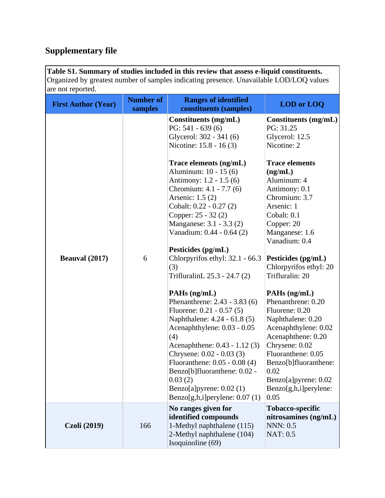## **Supplementary file**

**Table S1. Summary of studies included in this review that assess e-liquid constituents.**  Organized by greatest number of samples indicating presence. Unavailable LOD/LOQ values are not reported.

| <b>First Author (Year)</b> | <b>Number</b> of<br>samples | <b>Ranges of identified</b><br>constituents (samples)                                                                                                                                                                                                                                                                                                                                                                                                                                                                                                                                                                                                                                                                                                                                                   | <b>LOD</b> or LOQ                                                                                                                                                                                                                                                                                                                                                                                                                                                                                                                                                       |
|----------------------------|-----------------------------|---------------------------------------------------------------------------------------------------------------------------------------------------------------------------------------------------------------------------------------------------------------------------------------------------------------------------------------------------------------------------------------------------------------------------------------------------------------------------------------------------------------------------------------------------------------------------------------------------------------------------------------------------------------------------------------------------------------------------------------------------------------------------------------------------------|-------------------------------------------------------------------------------------------------------------------------------------------------------------------------------------------------------------------------------------------------------------------------------------------------------------------------------------------------------------------------------------------------------------------------------------------------------------------------------------------------------------------------------------------------------------------------|
| Beauval (2017)             | 6                           | Constituents (mg/mL)<br>PG: $541 - 639(6)$<br>Glycerol: 302 - 341 (6)<br>Nicotine: 15.8 - 16 (3)<br>Trace elements (ng/mL)<br>Aluminum: 10 - 15 (6)<br>Antimony: 1.2 - 1.5 (6)<br>Chromium: 4.1 - 7.7 (6)<br>Arsenic: 1.5 (2)<br>Cobalt: 0.22 - 0.27 (2)<br>Copper: 25 - 32 (2)<br>Manganese: 3.1 - 3.3 (2)<br>Vanadium: 0.44 - 0.64 (2)<br>Pesticides (pg/mL)<br>Chlorpyrifos ethyl: 32.1 - 66.3<br>(3)<br>TrifluralinL 25.3 - 24.7 (2)<br>PAHs (ng/mL)<br>Phenanthrene: 2.43 - 3.83 (6)<br>Fluorene: $0.21 - 0.57(5)$<br>Naphthalene: 4.24 - 61.8 (5)<br>Acenaphthylene: 0.03 - 0.05<br>(4)<br>Acenaphthene: 0.43 - 1.12 (3)<br>Chrysene: 0.02 - 0.03 (3)<br>Fluoranthene: 0.05 - 0.08 (4)<br>Benzo[b]fluoranthene: 0.02 -<br>0.03(2)<br>Benzo[a]pyrene: $0.02(1)$<br>Benzo[g,h,i]perylene: $0.07(1)$ | Constituents (mg/mL)<br>PG: 31.25<br>Glycerol: 12.5<br>Nicotine: 2<br><b>Trace elements</b><br>(ng/mL)<br>Aluminum: 4<br>Antimony: 0.1<br>Chromium: 3.7<br>Arsenic: 1<br>Cobalt: 0.1<br>Copper: 20<br>Manganese: 1.6<br>Vanadium: 0.4<br>Pesticides (pg/mL)<br>Chlorpyrifos ethyl: 20<br>Trifluralin: 20<br>$PAHs$ (ng/mL)<br>Phenanthrene: 0.20<br>Fluorene: 0.20<br>Naphthalene: 0.20<br>Acenaphthylene: 0.02<br>Acenaphthene: 0.20<br>Chrysene: 0.02<br>Fluoranthene: 0.05<br>Benzo[b]fluoranthene:<br>0.02<br>Benzo[a]pyrene: 0.02<br>Benzo[g,h,i]perylene:<br>0.05 |
| <b>Czoli</b> (2019)        | 166                         | No ranges given for<br>identified compounds<br>1-Methyl naphthalene (115)<br>2-Methyl naphthalene (104)<br>Isoquinoline (69)                                                                                                                                                                                                                                                                                                                                                                                                                                                                                                                                                                                                                                                                            | Tobacco-specific<br>nitrosamines (ng/mL)<br><b>NNN</b> : 0.5<br><b>NAT: 0.5</b>                                                                                                                                                                                                                                                                                                                                                                                                                                                                                         |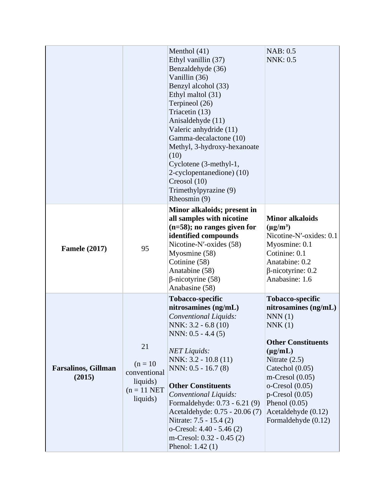|                                      |                                                                           | Menthol $(41)$<br>Ethyl vanillin (37)<br>Benzaldehyde (36)<br>Vanillin (36)<br>Benzyl alcohol (33)<br>Ethyl maltol (31)<br>Terpineol (26)<br>Triacetin (13)<br>Anisaldehyde (11)<br>Valeric anhydride (11)<br>Gamma-decalactone (10)<br>Methyl, 3-hydroxy-hexanoate<br>(10)<br>Cyclotene (3-methyl-1,<br>2-cyclopentanedione) (10)<br>Creosol (10)<br>Trimethylpyrazine (9)<br>Rheosmin (9)                                | NAB: 0.5<br><b>NNK: 0.5</b>                                                                                                                                                                                                                                                       |
|--------------------------------------|---------------------------------------------------------------------------|----------------------------------------------------------------------------------------------------------------------------------------------------------------------------------------------------------------------------------------------------------------------------------------------------------------------------------------------------------------------------------------------------------------------------|-----------------------------------------------------------------------------------------------------------------------------------------------------------------------------------------------------------------------------------------------------------------------------------|
| <b>Famele (2017)</b>                 | 95                                                                        | Minor alkaloids; present in<br>all samples with nicotine<br>$(n=58)$ ; no ranges given for<br>identified compounds<br>Nicotine-N'-oxides (58)<br>Myosmine (58)<br>Cotinine (58)<br>Anatabine (58)<br>$\beta$ -nicotyrine (58)<br>Anabasine (58)                                                                                                                                                                            | <b>Minor alkaloids</b><br>$(\mu g/m^3)$<br>Nicotine-N'-oxides: 0.1<br>Myosmine: 0.1<br>Cotinine: 0.1<br>Anatabine: 0.2<br>$\beta$ -nicotyrine: 0.2<br>Anabasine: 1.6                                                                                                              |
| <b>Farsalinos, Gillman</b><br>(2015) | 21<br>$(n = 10)$<br>conventional<br>liquids)<br>$(n = 11$ NET<br>liquids) | Tobacco-specific<br>nitrosamines (ng/mL)<br>Conventional Liquids:<br>NNK: $3.2 - 6.8(10)$<br>NNN: $0.5 - 4.4(5)$<br><b>NET</b> Liquids:<br>NNK: 3.2 - 10.8 (11)<br>NNN: $0.5 - 16.7(8)$<br><b>Other Constituents</b><br>Conventional Liquids:<br>Formaldehyde: 0.73 - 6.21 (9)<br>Acetaldehyde: 0.75 - 20.06 (7)<br>Nitrate: 7.5 - 15.4 (2)<br>o-Cresol: $4.40 - 5.46(2)$<br>m-Cresol: 0.32 - 0.45 (2)<br>Phenol: 1.42 (1) | Tobacco-specific<br>nitrosamines (ng/mL)<br>NNN(1)<br>NNK(1)<br><b>Other Constituents</b><br>$(\mu g/mL)$<br>Nitrate $(2.5)$<br>Catechol (0.05)<br>m-Cresol $(0.05)$<br>$o-Cresol(0.05)$<br>$p$ -Cresol $(0.05)$<br>Phenol $(0.05)$<br>Acetaldehyde (0.12)<br>Formaldehyde (0.12) |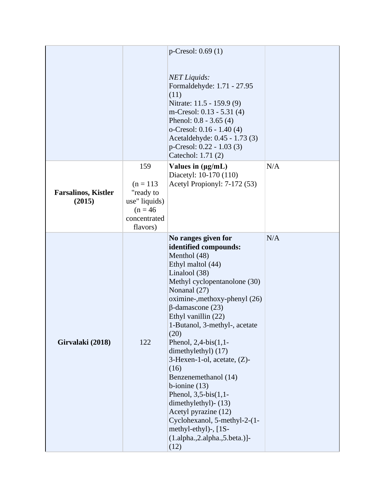|                                      |                                                                                            | $p$ -Cresol: 0.69 $(1)$<br><b>NET Liquids:</b><br>Formaldehyde: 1.71 - 27.95<br>(11)<br>Nitrate: 11.5 - 159.9 (9)<br>m-Cresol: 0.13 - 5.31 (4)<br>Phenol: $0.8 - 3.65(4)$<br>o-Cresol: $0.16 - 1.40(4)$<br>Acetaldehyde: 0.45 - 1.73 (3)<br>p-Cresol: 0.22 - 1.03 (3)<br>Catechol: 1.71 (2)                                                                                                                                                                                                                                                                                                           |     |
|--------------------------------------|--------------------------------------------------------------------------------------------|-------------------------------------------------------------------------------------------------------------------------------------------------------------------------------------------------------------------------------------------------------------------------------------------------------------------------------------------------------------------------------------------------------------------------------------------------------------------------------------------------------------------------------------------------------------------------------------------------------|-----|
| <b>Farsalinos, Kistler</b><br>(2015) | 159<br>$(n = 113)$<br>"ready to<br>use" liquids)<br>$(n = 46)$<br>concentrated<br>flavors) | Values in $(\mu g/mL)$<br>Diacetyl: 10-170 (110)<br>Acetyl Propionyl: 7-172 (53)                                                                                                                                                                                                                                                                                                                                                                                                                                                                                                                      | N/A |
| Girvalaki (2018)                     | 122                                                                                        | No ranges given for<br>identified compounds:<br>Menthol (48)<br>Ethyl maltol (44)<br>Linalool (38)<br>Methyl cyclopentanolone (30)<br>Nonanal (27)<br>oximine-, methoxy-phenyl (26)<br>$\beta$ -damascone (23)<br>Ethyl vanillin (22)<br>1-Butanol, 3-methyl-, acetate<br>(20)<br>Phenol, $2,4-bis(1,1-$<br>dimethylethyl) (17)<br>3-Hexen-1-ol, acetate, (Z)-<br>(16)<br>Benzenemethanol (14)<br>$b$ -ionine $(13)$<br>Phenol, $3,5-bis(1,1-$<br>dimethylethyl)- (13)<br>Acetyl pyrazine (12)<br>Cyclohexanol, 5-methyl-2-(1-<br>methyl-ethyl)-, [1S-<br>$(1.alpha., 2.alpha., 5. beta.)$ ]-<br>(12) | N/A |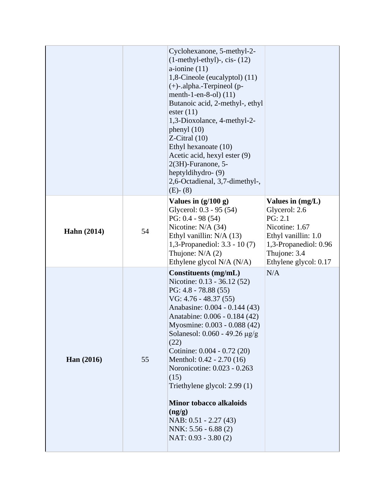|                     |    | Cyclohexanone, 5-methyl-2-<br>$(1-methyl-ethyl)$ , cis- $(12)$<br>a-ionine $(11)$<br>1,8-Cineole (eucalyptol) (11)<br>$(+)$ -.alpha.-Terpineol (p-<br>menth-1-en-8-ol $(11)$<br>Butanoic acid, 2-methyl-, ethyl<br>ester $(11)$<br>1,3-Dioxolance, 4-methyl-2-<br>phenyl $(10)$<br>$Z$ -Citral $(10)$<br>Ethyl hexanoate (10)<br>Acetic acid, hexyl ester (9)<br>$2(3H)$ -Furanone, 5-<br>heptyldihydro- (9)<br>2,6-Octadienal, 3,7-dimethyl-,<br>$(E)$ - (8)                                                 |                                                                                                                                                           |
|---------------------|----|---------------------------------------------------------------------------------------------------------------------------------------------------------------------------------------------------------------------------------------------------------------------------------------------------------------------------------------------------------------------------------------------------------------------------------------------------------------------------------------------------------------|-----------------------------------------------------------------------------------------------------------------------------------------------------------|
| <b>Hahn</b> (2014)  | 54 | Values in $(g/100 g)$<br>Glycerol: 0.3 - 95 (54)<br>PG: $0.4 - 98(54)$<br>Nicotine: N/A (34)<br>Ethyl vanillin: $N/A$ (13)<br>1,3-Propanediol: 3.3 - 10 (7)<br>Thujone: $N/A$ (2)<br>Ethylene glycol N/A (N/A)                                                                                                                                                                                                                                                                                                | Values in $(mg/L)$<br>Glycerol: 2.6<br>PG: 2.1<br>Nicotine: 1.67<br>Ethyl vanillin: 1.0<br>1,3-Propanediol: 0.96<br>Thujone: 3.4<br>Ethylene glycol: 0.17 |
| $\text{Han} (2016)$ | 55 | Constituents (mg/mL)<br>Nicotine: 0.13 - 36.12 (52)<br>PG: 4.8 - 78.88 (55)<br>$VG: 4.76 - 48.37(55)$<br>Anabasine: 0.004 - 0.144 (43)<br>Anatabine: 0.006 - 0.184 (42)<br>Myosmine: 0.003 - 0.088 (42)<br>Solanesol: $0.060 - 49.26 \mu g/g$<br>(22)<br>Cotinine: 0.004 - 0.72 (20)<br>Menthol: 0.42 - 2.70 (16)<br>Noronicotine: 0.023 - 0.263<br>(15)<br>Triethylene glycol: 2.99 (1)<br><b>Minor tobacco alkaloids</b><br>(ng/g)<br>NAB: 0.51 - 2.27 (43)<br>NNK: 5.56 - 6.88 (2)<br>NAT: 0.93 - 3.80 (2) | N/A                                                                                                                                                       |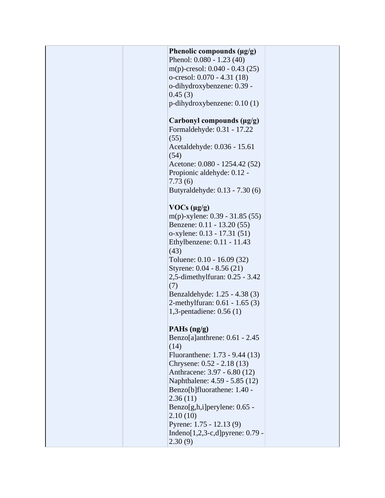| Phenolic compounds $(\mu g/g)$      |  |
|-------------------------------------|--|
| Phenol: 0.080 - 1.23 (40)           |  |
| m(p)-cresol: $0.040 - 0.43$ (25)    |  |
| o-cresol: 0.070 - 4.31 (18)         |  |
| o-dihydroxybenzene: 0.39 -          |  |
| 0.45(3)                             |  |
| $p$ -dihydroxybenzene: 0.10 $(1)$   |  |
| Carbonyl compounds $(\mu g/g)$      |  |
| Formaldehyde: 0.31 - 17.22          |  |
| (55)                                |  |
| Acetaldehyde: 0.036 - 15.61         |  |
| (54)                                |  |
| Acetone: 0.080 - 1254.42 (52)       |  |
| Propionic aldehyde: 0.12 -          |  |
| 7.73(6)                             |  |
| Butyraldehyde: 0.13 - 7.30 (6)      |  |
|                                     |  |
| VOCs (µg/g)                         |  |
| m(p)-xylene: $0.39 - 31.85(55)$     |  |
| Benzene: 0.11 - 13.20 (55)          |  |
| o-xylene: 0.13 - 17.31 (51)         |  |
| Ethylbenzene: 0.11 - 11.43          |  |
| (43)                                |  |
| Toluene: 0.10 - 16.09 (32)          |  |
| Styrene: 0.04 - 8.56 (21)           |  |
| 2,5-dimethylfuran: 0.25 - 3.42      |  |
| (7)                                 |  |
| Benzaldehyde: 1.25 - 4.38 (3)       |  |
| 2-methylfuran: 0.61 - 1.65 (3)      |  |
| 1,3-pentadiene: 0.56 (1)            |  |
|                                     |  |
| $PAHs$ (ng/g)                       |  |
| Benzo[a]anthrene: $0.61 - 2.45$     |  |
| (14)                                |  |
| Fluoranthene: 1.73 - 9.44 (13)      |  |
|                                     |  |
| Chrysene: 0.52 - 2.18 (13)          |  |
| Anthracene: 3.97 - 6.80 (12)        |  |
| Naphthalene: 4.59 - 5.85 (12)       |  |
| Benzo[b]fluorathene: 1.40 -         |  |
| 2.36(11)                            |  |
| Benzo[g,h,i]perylene: 0.65 -        |  |
| 2.10(10)                            |  |
| Pyrene: 1.75 - 12.13 (9)            |  |
| Indeno $[1,2,3-c,d]$ pyrene: 0.79 - |  |
| 2.30(9)                             |  |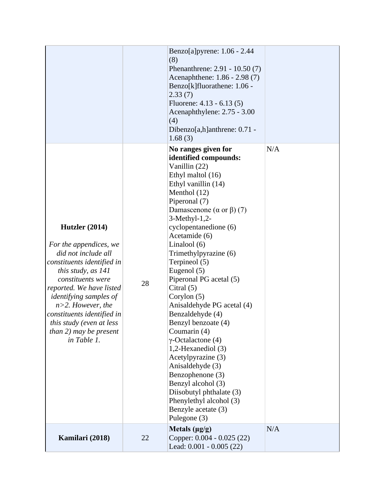|                                                                                                                                                                                                                                                                                                                                                |    | Benzo[a]pyrene: $1.06 - 2.44$<br>(8)<br>Phenanthrene: 2.91 - 10.50 (7)<br>Acenaphthene: 1.86 - 2.98 (7)<br>Benzo[k]fluorathene: 1.06 -<br>2.33(7)<br>Fluorene: 4.13 - 6.13 (5)<br>Acenaphthylene: 2.75 - 3.00<br>(4)<br>Dibenzo[a,h]anthrene: 0.71 -<br>1.68(3)                                                                                                                                                                                                                                                                                                                                                                                                                                                      |     |
|------------------------------------------------------------------------------------------------------------------------------------------------------------------------------------------------------------------------------------------------------------------------------------------------------------------------------------------------|----|----------------------------------------------------------------------------------------------------------------------------------------------------------------------------------------------------------------------------------------------------------------------------------------------------------------------------------------------------------------------------------------------------------------------------------------------------------------------------------------------------------------------------------------------------------------------------------------------------------------------------------------------------------------------------------------------------------------------|-----|
| <b>Hutzler</b> (2014)<br>For the appendices, we<br>did not include all<br>constituents identified in<br>this study, as 141<br>constituents were<br>reported. We have listed<br><i>identifying samples of</i><br>$n>2$ . However, the<br>constituents identified in<br><i>this study (even at less</i><br>than 2) may be present<br>in Table 1. | 28 | No ranges given for<br>identified compounds:<br>Vanillin (22)<br>Ethyl maltol (16)<br>Ethyl vanillin (14)<br>Menthol (12)<br>Piperonal (7)<br>Damascenone $(\alpha$ or $\beta$ ) (7)<br>$3-Methyl-1,2-$<br>cyclopentanedione (6)<br>Acetamide (6)<br>Linalool (6)<br>Trimethylpyrazine (6)<br>Terpineol (5)<br>Eugenol (5)<br>Piperonal PG acetal (5)<br>Citral $(5)$<br>Corylon $(5)$<br>Anisaldehyde PG acetal (4)<br>Benzaldehyde (4)<br>Benzyl benzoate (4)<br>Coumarin (4)<br>$\gamma$ -Octalactone (4)<br>1,2-Hexanediol (3)<br>Acetylpyrazine (3)<br>Anisaldehyde (3)<br>Benzophenone (3)<br>Benzyl alcohol (3)<br>Diisobutyl phthalate (3)<br>Phenylethyl alcohol (3)<br>Benzyle acetate (3)<br>Pulegone (3) | N/A |
| Kamilari (2018)                                                                                                                                                                                                                                                                                                                                | 22 | Metals $(\mu g/g)$<br>Copper: 0.004 - 0.025 (22)<br>Lead: 0.001 - 0.005 (22)                                                                                                                                                                                                                                                                                                                                                                                                                                                                                                                                                                                                                                         | N/A |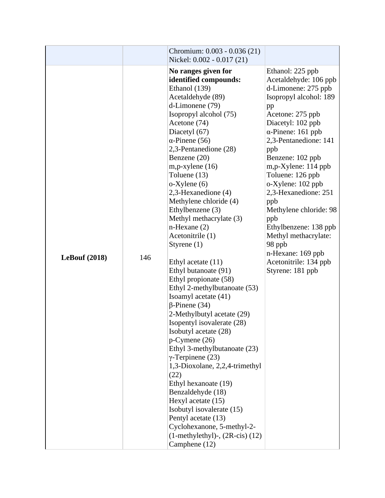|                      |     | Chromium: 0.003 - 0.036 (21)                                                                                                                                                                                                                                                                                                                                                                                                                                                                                                                                                                                                                                                                                                                                                                                                                                                                                  |                                                                                                                                                                                                                                                                                                                                                                                                                                                                                         |
|----------------------|-----|---------------------------------------------------------------------------------------------------------------------------------------------------------------------------------------------------------------------------------------------------------------------------------------------------------------------------------------------------------------------------------------------------------------------------------------------------------------------------------------------------------------------------------------------------------------------------------------------------------------------------------------------------------------------------------------------------------------------------------------------------------------------------------------------------------------------------------------------------------------------------------------------------------------|-----------------------------------------------------------------------------------------------------------------------------------------------------------------------------------------------------------------------------------------------------------------------------------------------------------------------------------------------------------------------------------------------------------------------------------------------------------------------------------------|
| <b>LeBouf (2018)</b> | 146 | Nickel: 0.002 - 0.017 (21)<br>No ranges given for<br>identified compounds:<br>Ethanol (139)<br>Acetaldehyde (89)<br>d-Limonene (79)<br>Isopropyl alcohol (75)<br>Acetone (74)<br>Diacetyl (67)<br>$\alpha$ -Pinene (56)<br>2,3-Pentanedione (28)<br>Benzene (20)<br>$m$ , p-xylene $(16)$<br>Toluene (13)<br>$o$ -Xylene $(6)$<br>2,3-Hexanedione (4)<br>Methylene chloride (4)<br>Ethylbenzene (3)<br>Methyl methacrylate (3)<br>$n$ -Hexane $(2)$<br>Acetonitrile (1)<br>Styrene $(1)$<br>Ethyl acetate (11)<br>Ethyl butanoate (91)<br>Ethyl propionate (58)<br>Ethyl 2-methylbutanoate (53)<br>Isoamyl acetate (41)<br>$\beta$ -Pinene (34)<br>2-Methylbutyl acetate (29)<br>Isopentyl isovalerate (28)<br>Isobutyl acetate (28)<br>$p$ -Cymene $(26)$<br>Ethyl 3-methylbutanoate (23)<br>$\gamma$ -Terpinene (23)<br>1,3-Dioxolane, 2,2,4-trimethyl<br>(22)<br>Ethyl hexanoate (19)<br>Benzaldehyde (18) | Ethanol: 225 ppb<br>Acetaldehyde: 106 ppb<br>d-Limonene: 275 ppb<br>Isopropyl alcohol: 189<br>pp<br>Acetone: 275 ppb<br>Diacetyl: 102 ppb<br>$\alpha$ -Pinene: 161 ppb<br>2,3-Pentanedione: 141<br>ppb<br>Benzene: 102 ppb<br>m,p-Xylene: 114 ppb<br>Toluene: 126 ppb<br>o-Xylene: 102 ppb<br>2,3-Hexanedione: 251<br>ppb<br>Methylene chloride: 98<br>ppb<br>Ethylbenzene: 138 ppb<br>Methyl methacrylate:<br>98 ppb<br>n-Hexane: 169 ppb<br>Acetonitrile: 134 ppb<br>Styrene: 181 ppb |
|                      |     | Hexyl acetate (15)<br>Isobutyl isovalerate (15)<br>Pentyl acetate (13)<br>Cyclohexanone, 5-methyl-2-<br>$(1-methylethyl)$ -, $(2R-cis)$ $(12)$<br>Camphene (12)                                                                                                                                                                                                                                                                                                                                                                                                                                                                                                                                                                                                                                                                                                                                               |                                                                                                                                                                                                                                                                                                                                                                                                                                                                                         |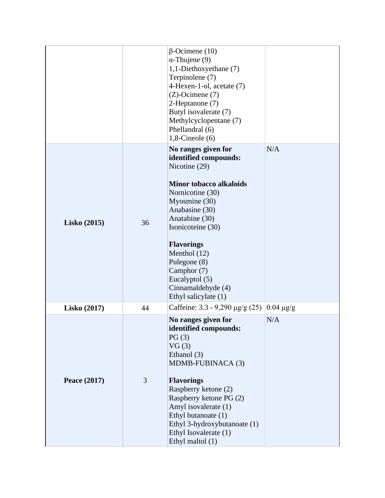|                     |                | $\beta$ -Ocimene (10)<br>$\alpha$ -Thujene (9)<br>1,1-Diethoxyethane (7)<br>Terpinolene (7)<br>4-Hexen-1-ol, acetate (7)<br>$(Z)$ -Ocimene $(7)$<br>2-Heptanone (7)<br>Butyl isovalerate (7)<br>Methylcyclopentane (7)<br>Phellandral (6)<br>$1,8$ -Cineole $(6)$                                                                 |                |
|---------------------|----------------|-----------------------------------------------------------------------------------------------------------------------------------------------------------------------------------------------------------------------------------------------------------------------------------------------------------------------------------|----------------|
| <b>Lisko</b> (2015) | 36             | No ranges given for<br>identified compounds:<br>Nicotine (29)<br><b>Minor tobacco alkaloids</b><br>Nornicotine (30)<br>Myosmine (30)<br>Anabasine (30)<br>Anatabine (30)<br>Isonicoteine (30)<br><b>Flavorings</b><br>Menthol (12)<br>Pulegone (8)<br>Camphor (7)<br>Eucalyptol (5)<br>Cinnamaldehyde (4)<br>Ethyl salicylate (1) | N/A            |
| <b>Lisko</b> (2017) | 44             | Caffeine: $3.3 - 9,290 \mu g/g (25)$                                                                                                                                                                                                                                                                                              | $0.04 \mu g/g$ |
| Peace (2017)        | $\overline{3}$ | No ranges given for<br>identified compounds:<br>PG(3)<br>VG(3)<br>Ethanol (3)<br>MDMB-FUBINACA (3)<br><b>Flavorings</b><br>Raspberry ketone (2)<br>Raspberry ketone PG (2)<br>Amyl isovalerate (1)<br>Ethyl butanoate (1)<br>Ethyl 3-hydroxybutanoate (1)<br>Ethyl Isovalerate (1)<br>Ethyl maltol (1)                            | N/A            |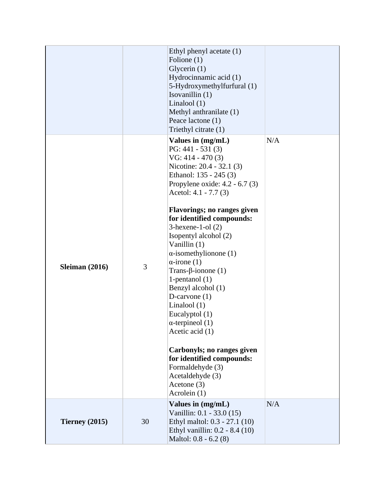|                       |    | Ethyl phenyl acetate (1)<br>Folione $(1)$<br>Glycerin $(1)$<br>Hydrocinnamic acid (1)<br>5-Hydroxymethylfurfural (1)<br>Isovanillin (1)<br>Linalool $(1)$<br>Methyl anthranilate (1)<br>Peace lactone (1)<br>Triethyl citrate (1)                                                                                                                                                                                                                                                                                                                                                                                                                                                             |     |
|-----------------------|----|-----------------------------------------------------------------------------------------------------------------------------------------------------------------------------------------------------------------------------------------------------------------------------------------------------------------------------------------------------------------------------------------------------------------------------------------------------------------------------------------------------------------------------------------------------------------------------------------------------------------------------------------------------------------------------------------------|-----|
| <b>Sleiman</b> (2016) | 3  | Values in (mg/mL)<br>PG: $441 - 531(3)$<br>$VG: 414 - 470(3)$<br>Nicotine: 20.4 - 32.1 (3)<br>Ethanol: 135 - 245 (3)<br>Propylene oxide: $4.2 - 6.7(3)$<br>Acetol: 4.1 - 7.7 (3)<br><b>Flavorings; no ranges given</b><br>for identified compounds:<br>$3$ -hexene-1-ol $(2)$<br>Isopentyl alcohol (2)<br>Vanillin (1)<br>$\alpha$ -isomethylionone (1)<br>$\alpha$ -irone (1)<br>Trans- $\beta$ -ionone (1)<br>1-pentanol $(1)$<br>Benzyl alcohol (1)<br>D-carvone $(1)$<br>Linalool $(1)$<br>Eucalyptol (1)<br>$\alpha$ -terpineol (1)<br>Acetic acid (1)<br>Carbonyls; no ranges given<br>for identified compounds:<br>Formaldehyde (3)<br>Acetaldehyde (3)<br>Acetone (3)<br>Acrolein (1) | N/A |
| Tierney $(2015)$      | 30 | Values in (mg/mL)<br>Vanillin: 0.1 - 33.0 (15)<br>Ethyl maltol: 0.3 - 27.1 (10)<br>Ethyl vanillin: 0.2 - 8.4 (10)<br>Maltol: 0.8 - 6.2 (8)                                                                                                                                                                                                                                                                                                                                                                                                                                                                                                                                                    | N/A |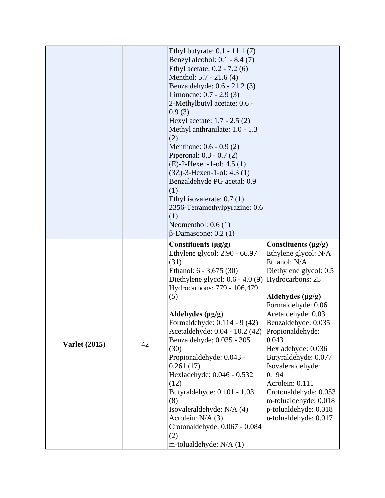|                      |    | Ethyl butyrate: 0.1 - 11.1 (7)<br>Benzyl alcohol: 0.1 - 8.4 (7)<br>Ethyl acetate: 0.2 - 7.2 (6)<br>Menthol: 5.7 - 21.6 (4)<br>Benzaldehyde: 0.6 - 21.2 (3)<br>Limonene: 0.7 - 2.9 (3)<br>2-Methylbutyl acetate: 0.6 -<br>0.9(3)<br>Hexyl acetate: 1.7 - 2.5 (2)<br>Methyl anthranilate: 1.0 - 1.3<br>(2)<br>Menthone: $0.6 - 0.9(2)$<br>Piperonal: $0.3 - 0.7(2)$<br>$(E)$ -2-Hexen-1-ol: 4.5 (1)<br>$(3Z)$ -3-Hexen-1-ol: 4.3 (1)<br>Benzaldehyde PG acetal: 0.9<br>(1)<br>Ethyl isovalerate: $0.7(1)$<br>2356-Tetramethylpyrazine: 0.6<br>(1)<br>Neomenthol: $0.6(1)$<br>$\beta$ -Damascone: 0.2 (1) |                                                                                                                                                                                                                                                                                                                                                                                                                                            |
|----------------------|----|--------------------------------------------------------------------------------------------------------------------------------------------------------------------------------------------------------------------------------------------------------------------------------------------------------------------------------------------------------------------------------------------------------------------------------------------------------------------------------------------------------------------------------------------------------------------------------------------------------|--------------------------------------------------------------------------------------------------------------------------------------------------------------------------------------------------------------------------------------------------------------------------------------------------------------------------------------------------------------------------------------------------------------------------------------------|
| <b>Varlet</b> (2015) | 42 | Constituents $(\mu g/g)$<br>Ethylene glycol: 2.90 - 66.97<br>(31)<br>Ethanol: 6 - 3,675 (30)<br>Diethylene glycol: $0.6 - 4.0(9)$<br>Hydrocarbons: 779 - 106,479<br>(5)<br>Aldehydes (µg/g)<br>Formaldehyde: 0.114 - 9 (42)<br>Acetaldehyde: 0.04 - 10.2 (42)<br>Benzaldehyde: 0.035 - 305<br>(30)<br>Propionaldehyde: 0.043 -<br>0.261(17)<br>Hexladehyde: 0.046 - 0.532<br>(12)<br>Butyraldehyde: 0.101 - 1.03<br>(8)<br>Isovaleraldehyde: N/A (4)<br>Acrolein: N/A (3)<br>Crotonaldehyde: 0.067 - 0.084<br>(2)<br>m-tolualdehyde: N/A (1)                                                           | Constituents $(\mu g/g)$<br>Ethylene glycol: N/A<br>Ethanol: N/A<br>Diethylene glycol: 0.5<br>Hydrocarbons: 25<br>Aldehydes $(\mu g/g)$<br>Formaldehyde: 0.06<br>Acetaldehyde: 0.03<br>Benzaldehyde: 0.035<br>Propionaldehyde:<br>0.043<br>Hexladehyde: 0.036<br>Butyraldehyde: 0.077<br>Isovaleraldehyde:<br>0.194<br>Acrolein: 0.111<br>Crotonaldehyde: 0.053<br>m-tolualdehyde: 0.018<br>p-tolualdehyde: 0.018<br>o-tolualdehyde: 0.017 |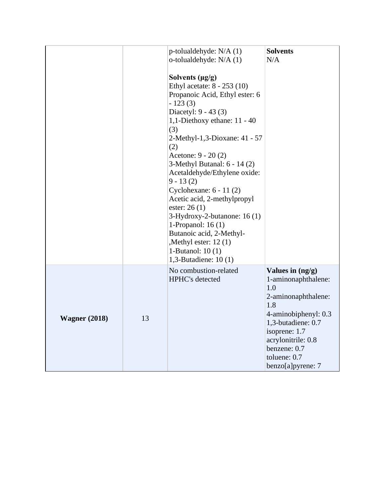|                      |    | p-tolualdehyde: $N/A$ (1)<br>o-tolualdehyde: N/A (1)<br>Solvents $(\mu g/g)$<br>Ethyl acetate: 8 - 253 (10)<br>Propanoic Acid, Ethyl ester: 6<br>$-123(3)$<br>Diacetyl: 9 - 43 (3)<br>1,1-Diethoxy ethane: 11 - 40<br>(3)<br>2-Methyl-1,3-Dioxane: 41 - 57<br>(2)<br>Acetone: 9 - 20 (2)<br>3-Methyl Butanal: 6 - 14 (2)<br>Acetaldehyde/Ethylene oxide:<br>$9 - 13(2)$<br>Cyclohexane: $6 - 11(2)$<br>Acetic acid, 2-methylpropyl<br>ester: $26(1)$<br>$3-Hydroxy-2-butanone: 16(1)$<br>1-Propanol: $16(1)$<br>Butanoic acid, 2-Methyl-<br>, Methyl ester: $12(1)$<br>1-Butanol: $10(1)$<br>1,3-Butadiene: $10(1)$ | <b>Solvents</b><br>N/A                                                                                                                                                                                                 |
|----------------------|----|---------------------------------------------------------------------------------------------------------------------------------------------------------------------------------------------------------------------------------------------------------------------------------------------------------------------------------------------------------------------------------------------------------------------------------------------------------------------------------------------------------------------------------------------------------------------------------------------------------------------|------------------------------------------------------------------------------------------------------------------------------------------------------------------------------------------------------------------------|
| <b>Wagner (2018)</b> | 13 | No combustion-related<br>HPHC's detected                                                                                                                                                                                                                                                                                                                                                                                                                                                                                                                                                                            | Values in (ng/g)<br>1-aminonaphthalene:<br>1.0<br>2-aminonaphthalene:<br>1.8<br>4-aminobiphenyl: 0.3<br>1,3-butadiene: 0.7<br>isoprene: 1.7<br>acrylonitrile: 0.8<br>benzene: 0.7<br>toluene: 0.7<br>benzo[a]pyrene: 7 |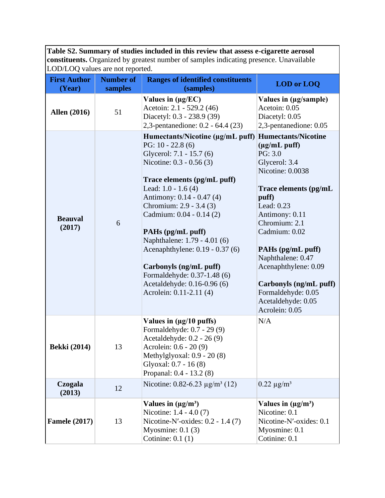**Table S2. Summary of studies included in this review that assess e-cigarette aerosol constituents.** Organized by greatest number of samples indicating presence. Unavailable LOD/LOQ values are not reported.

| <b>First Author</b><br>(Year) | <b>Number of</b><br>samples | <b>Ranges of identified constituents</b><br>(samples)                                                                                                                                                                                                                                                                                                                                                                                                                | <b>LOD</b> or <b>LOQ</b>                                                                                                                                                                                                                                                                                                                                      |
|-------------------------------|-----------------------------|----------------------------------------------------------------------------------------------------------------------------------------------------------------------------------------------------------------------------------------------------------------------------------------------------------------------------------------------------------------------------------------------------------------------------------------------------------------------|---------------------------------------------------------------------------------------------------------------------------------------------------------------------------------------------------------------------------------------------------------------------------------------------------------------------------------------------------------------|
| <b>Allen</b> (2016)           | 51                          | Values in $(\mu g/EC)$<br>Acetoin: 2.1 - 529.2 (46)<br>Diacetyl: 0.3 - 238.9 (39)<br>2,3-pentanedione: 0.2 - 64.4 (23)                                                                                                                                                                                                                                                                                                                                               | Values in (µg/sample)<br>Acetoin: 0.05<br>Diacetyl: 0.05<br>2,3-pentanedione: 0.05                                                                                                                                                                                                                                                                            |
| <b>Beauval</b><br>(2017)      | 6                           | Humectants/Nicotine (µg/mL puff)<br>PG: $10 - 22.8(6)$<br>Glycerol: 7.1 - 15.7 (6)<br>Nicotine: 0.3 - 0.56 (3)<br>Trace elements (pg/mL puff)<br>Lead: $1.0 - 1.6(4)$<br>Antimony: 0.14 - 0.47 (4)<br>Chromium: 2.9 - 3.4 (3)<br>Cadmium: 0.04 - 0.14 (2)<br>PAHs (pg/mL puff)<br>Naphthalene: 1.79 - 4.01 (6)<br>Acenaphthylene: 0.19 - 0.37 (6)<br>Carbonyls (ng/mL puff)<br>Formaldehyde: 0.37-1.48 (6)<br>Acetaldehyde: 0.16-0.96 (6)<br>Acrolein: 0.11-2.11 (4) | <b>Humectants/Nicotine</b><br>$(\mu g/mL$ puff)<br>PG: 3.0<br>Glycerol: 3.4<br>Nicotine: 0.0038<br>Trace elements (pg/mL<br>puff)<br>Lead: 0.23<br>Antimony: 0.11<br>Chromium: 2.1<br>Cadmium: 0.02<br>PAHs (pg/mL puff)<br>Naphthalene: 0.47<br>Acenaphthylene: 0.09<br>Carbonyls (ng/mL puff)<br>Formaldehyde: 0.05<br>Acetaldehyde: 0.05<br>Acrolein: 0.05 |
| <b>Bekki</b> (2014)           | 13                          | Values in $(\mu g/10 \text{ puffs})$<br>Formaldehyde: 0.7 - 29 (9)<br>Acetaldehyde: 0.2 - 26 (9)<br>Acrolein: 0.6 - 20 (9)<br>Methylglyoxal: 0.9 - 20 (8)<br>Glyoxal: 0.7 - 16 (8)<br>Propanal: 0.4 - 13.2 (8)                                                                                                                                                                                                                                                       | N/A                                                                                                                                                                                                                                                                                                                                                           |
| Czogala<br>(2013)             | 12                          | Nicotine: 0.82-6.23 $\mu$ g/m <sup>3</sup> (12)                                                                                                                                                                                                                                                                                                                                                                                                                      | $0.22 \mu g/m^3$                                                                                                                                                                                                                                                                                                                                              |
| <b>Famele (2017)</b>          | 13                          | Values in $(\mu g/m^3)$<br>Nicotine: 1.4 - 4.0 (7)<br>Nicotine-N'-oxides: $0.2 - 1.4(7)$<br>Myosmine: $0.1(3)$<br>Cotinine: $0.1(1)$                                                                                                                                                                                                                                                                                                                                 | Values in $(\mu g/m^3)$<br>Nicotine: 0.1<br>Nicotine-N'-oxides: 0.1<br>Myosmine: 0.1<br>Cotinine: 0.1                                                                                                                                                                                                                                                         |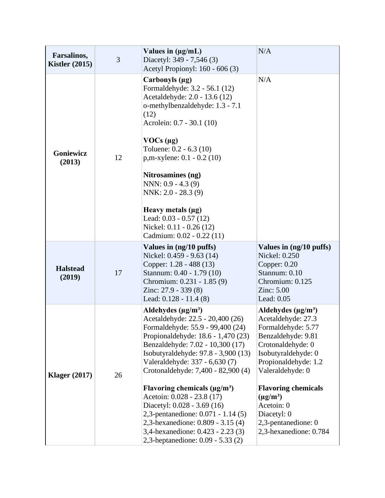| Farsalinos,<br>Kistler $(2015)$ | 3  | Values in $(\mu g/mL)$<br>Diacetyl: 349 - 7,546 (3)<br>Acetyl Propionyl: 160 - 606 (3)                                                                                                                                                                                                                                                                                                                                                                                                                                                          | N/A                                                                                                                                                                                                                                                                                                            |
|---------------------------------|----|-------------------------------------------------------------------------------------------------------------------------------------------------------------------------------------------------------------------------------------------------------------------------------------------------------------------------------------------------------------------------------------------------------------------------------------------------------------------------------------------------------------------------------------------------|----------------------------------------------------------------------------------------------------------------------------------------------------------------------------------------------------------------------------------------------------------------------------------------------------------------|
| Goniewicz<br>(2013)             | 12 | Carbonyls (µg)<br>Formaldehyde: 3.2 - 56.1 (12)<br>Acetaldehyde: 2.0 - 13.6 (12)<br>o-methylbenzaldehyde: 1.3 - 7.1<br>(12)<br>Acrolein: 0.7 - 30.1 (10)<br>VOCs (µg)<br>Toluene: $0.2 - 6.3(10)$<br>p, m-xylene: $0.1 - 0.2$ (10)<br>Nitrosamines (ng)<br>NNN: $0.9 - 4.3(9)$<br>NNK: 2.0 - 28.3 (9)<br>Heavy metals $(\mu g)$<br>Lead: 0.03 - 0.57 (12)<br>Nickel: 0.11 - 0.26 (12)<br>Cadmium: 0.02 - 0.22 (11)                                                                                                                              | N/A                                                                                                                                                                                                                                                                                                            |
| <b>Halstead</b><br>(2019)       | 17 | Values in (ng/10 puffs)<br>Nickel: 0.459 - 9.63 (14)<br>Copper: 1.28 - 488 (13)<br>Stannum: 0.40 - 1.79 (10)<br>Chromium: 0.231 - 1.85 (9)<br>Zinc: 27.9 - 339 (8)<br>Lead: $0.128 - 11.4(8)$                                                                                                                                                                                                                                                                                                                                                   | Values in (ng/10 puffs)<br>Nickel: 0.250<br>Copper: $0.20$<br>Stannum: 0.10<br>Chromium: 0.125<br>Zinc: $5.00$<br>Lead: 0.05                                                                                                                                                                                   |
| <b>Klager</b> (2017)            | 26 | Aldehydes $(\mu g/m^3)$<br>Acetaldehyde: 22.5 - 20,400 (26)<br>Formaldehyde: 55.9 - 99,400 (24)<br>Propionaldehyde: 18.6 - 1,470 (23)<br>Benzaldehyde: 7.02 - 10,300 (17)<br>Isobutyraldehyde: 97.8 - 3,900 (13)<br>Valeraldehyde: 337 - 6,630 (7)<br>Crotonaldehyde: 7,400 - 82,900 (4)<br>Flavoring chemicals $(\mu g/m^3)$<br>Acetoin: 0.028 - 23.8 (17)<br>Diacetyl: 0.028 - 3.69 (16)<br>2,3-pentanedione: 0.071 - 1.14 (5)<br>2,3-hexanedione: 0.809 - 3.15 (4)<br>3,4-hexanedione: 0.423 - 2.23 (3)<br>2,3-heptanedione: 0.09 - 5.33 (2) | Aldehydes $(\mu g/m^3)$<br>Acetaldehyde: 27.3<br>Formaldehyde: 5.77<br>Benzaldehyde: 9.81<br>Crotonaldehyde: 0<br>Isobutyraldehyde: 0<br>Propionaldehyde: 1.2<br>Valeraldehyde: 0<br><b>Flavoring chemicals</b><br>$(\mu g/m^3)$<br>Acetoin: 0<br>Diacetyl: 0<br>2,3-pentanedione: 0<br>2,3-hexanedione: 0.784 |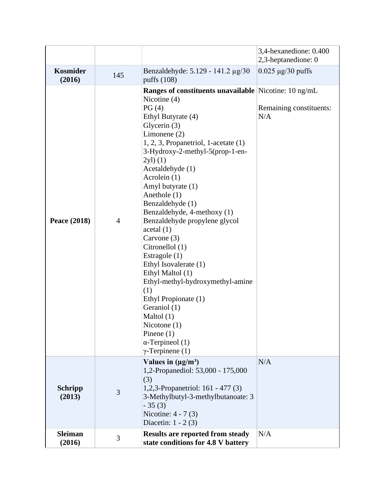|                          |                |                                                                                                                                                                                                                                                                                                                                                                                                                                                                                                                                                                                                                                                                                                                             | 3,4-hexanedione: 0.400<br>2,3-heptanedione: 0 |
|--------------------------|----------------|-----------------------------------------------------------------------------------------------------------------------------------------------------------------------------------------------------------------------------------------------------------------------------------------------------------------------------------------------------------------------------------------------------------------------------------------------------------------------------------------------------------------------------------------------------------------------------------------------------------------------------------------------------------------------------------------------------------------------------|-----------------------------------------------|
| Kosmider<br>(2016)       | 145            | Benzaldehyde: 5.129 - 141.2 μg/30<br>puffs $(108)$                                                                                                                                                                                                                                                                                                                                                                                                                                                                                                                                                                                                                                                                          | $0.025 \mu g/30 \text{ puffs}$                |
| Peace (2018)             | $\overline{4}$ | <b>Ranges of constituents unavailable</b> Nicotine: 10 ng/mL<br>Nicotine (4)<br>PG(4)<br>Ethyl Butyrate (4)<br>Glycerin $(3)$<br>Limonene $(2)$<br>$1, 2, 3$ , Propanetriol, 1-acetate $(1)$<br>3-Hydroxy-2-methyl-5(prop-1-en-<br>2y1)(1)<br>Acetaldehyde (1)<br>Acrolein (1)<br>Amyl butyrate (1)<br>Anethole (1)<br>Benzaldehyde (1)<br>Benzaldehyde, 4-methoxy (1)<br>Benzaldehyde propylene glycol<br>$\alpha$ acetal $(1)$<br>Carvone (3)<br>Citronellol (1)<br>Estragole (1)<br>Ethyl Isovalerate (1)<br>Ethyl Maltol (1)<br>Ethyl-methyl-hydroxymethyl-amine<br>(1)<br>Ethyl Propionate (1)<br>Geraniol (1)<br>Maltol $(1)$<br>Nicotone $(1)$<br>Pinene $(1)$<br>$\alpha$ -Terpineol (1)<br>$\gamma$ -Terpinene (1) | Remaining constituents:<br>N/A                |
| <b>Schripp</b><br>(2013) | 3              | Values in $(\mu g/m^3)$<br>1,2-Propanediol: 53,000 - 175,000<br>(3)<br>1,2,3-Propanetriol: 161 - 477 (3)<br>3-Methylbutyl-3-methylbutanoate: 3<br>$-35(3)$<br>Nicotine: 4 - 7 (3)<br>Diacetin: $1 - 2(3)$                                                                                                                                                                                                                                                                                                                                                                                                                                                                                                                   | N/A                                           |
| <b>Sleiman</b><br>(2016) | 3              | <b>Results are reported from steady</b><br>state conditions for 4.8 V battery                                                                                                                                                                                                                                                                                                                                                                                                                                                                                                                                                                                                                                               | N/A                                           |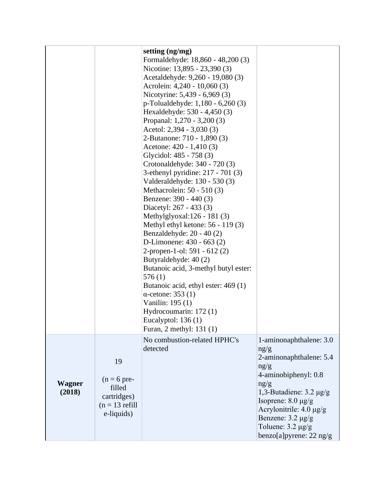|                         |                                                                                | setting $(ng/mg)$<br>Formaldehyde: 18,860 - 48,200 (3)<br>Nicotine: 13,895 - 23,390 (3)<br>Acetaldehyde: 9,260 - 19,080 (3)<br>Acrolein: 4,240 - 10,060 (3)<br>Nicotyrine: 5,439 - 6,969 (3)<br>p-Tolualdehyde: 1,180 - 6,260 (3)<br>Hexaldehyde: 530 - 4,450 (3)<br>Propanal: 1,270 - 3,200 (3)<br>Acetol: 2,394 - 3,030 (3)<br>2-Butanone: 710 - 1,890 (3)<br>Acetone: 420 - 1,410 (3)<br>Glycidol: 485 - 758 (3)<br>Crotonaldehyde: 340 - 720 (3)<br>3-ethenyl pyridine: 217 - 701 (3)<br>Valderaldehyde: 130 - 530 (3)<br>Methacrolein: 50 - 510 (3)<br>Benzene: 390 - 440 (3)<br>Diacetyl: 267 - 433 (3)<br>Methylglyoxal: $126 - 181(3)$<br>Methyl ethyl ketone: $56 - 119(3)$<br>Benzaldehyde: 20 - 40 (2)<br>D-Limonene: 430 - 663 (2)<br>2-propen-1-ol: 591 - 612 (2)<br>Butyraldehyde: 40 (2)<br>Butanoic acid, 3-methyl butyl ester:<br>576(1)<br>Butanoic acid, ethyl ester: 469 (1)<br>$\alpha$ -cetone: 353 (1)<br>Vanilin: 195 (1)<br>Hydrocoumarin: 172 (1)<br>Eucalyptol: $136(1)$<br>Furan, 2 methyl: 131 (1) |                                                                                                                                                                                                                                                                                |
|-------------------------|--------------------------------------------------------------------------------|---------------------------------------------------------------------------------------------------------------------------------------------------------------------------------------------------------------------------------------------------------------------------------------------------------------------------------------------------------------------------------------------------------------------------------------------------------------------------------------------------------------------------------------------------------------------------------------------------------------------------------------------------------------------------------------------------------------------------------------------------------------------------------------------------------------------------------------------------------------------------------------------------------------------------------------------------------------------------------------------------------------------------------|--------------------------------------------------------------------------------------------------------------------------------------------------------------------------------------------------------------------------------------------------------------------------------|
| <b>Wagner</b><br>(2018) | 19<br>$(n = 6$ pre-<br>filled<br>cartridges)<br>$(n = 13$ refill<br>e-liquids) | No combustion-related HPHC's<br>detected                                                                                                                                                                                                                                                                                                                                                                                                                                                                                                                                                                                                                                                                                                                                                                                                                                                                                                                                                                                        | 1-aminonaphthalene: 3.0<br>ng/g<br>2-aminonaphthalene: 5.4<br>ng/g<br>4-aminobiphenyl: 0.8<br>ng/g<br>1,3-Butadiene: $3.2 \mu g/g$<br>Isoprene: $8.0 \mu g/g$<br>Acrylonitrile: $4.0 \mu g/g$<br>Benzene: $3.2 \mu g/g$<br>Toluene: $3.2 \mu g/g$<br>benzo[a]pyrene: $22$ ng/g |